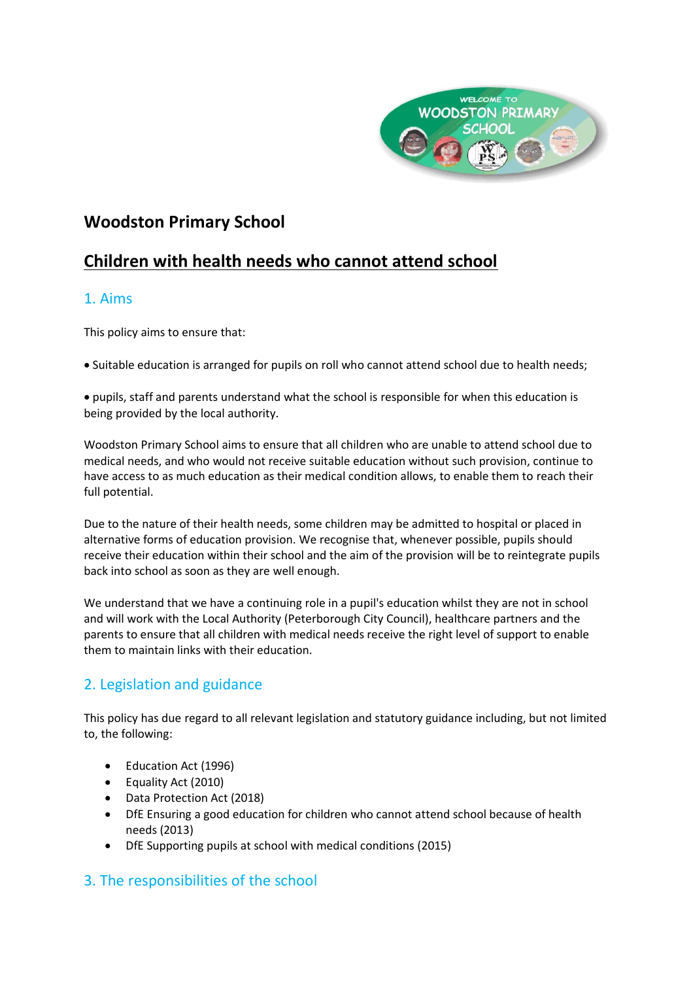

# **Woodston Primary School**

# **Children with health needs who cannot attend school**

#### 1. Aims

This policy aims to ensure that:

• Suitable education is arranged for pupils on roll who cannot attend school due to health needs;

• pupils, staff and parents understand what the school is responsible for when this education is being provided by the local authority.

Woodston Primary School aims to ensure that all children who are unable to attend school due to medical needs, and who would not receive suitable education without such provision, continue to have access to as much education as their medical condition allows, to enable them to reach their full potential.

Due to the nature of their health needs, some children may be admitted to hospital or placed in alternative forms of education provision. We recognise that, whenever possible, pupils should receive their education within their school and the aim of the provision will be to reintegrate pupils back into school as soon as they are well enough.

We understand that we have a continuing role in a pupil's education whilst they are not in school and will work with the Local Authority (Peterborough City Council), healthcare partners and the parents to ensure that all children with medical needs receive the right level of support to enable them to maintain links with their education.

## 2. Legislation and guidance

This policy has due regard to all relevant legislation and statutory guidance including, but not limited to, the following:

- Education Act (1996)
- Equality Act (2010)
- Data Protection Act (2018)
- DfE Ensuring a good education for children who cannot attend school because of health needs (2013)
- DfE Supporting pupils at school with medical conditions (2015)

#### 3. The responsibilities of the school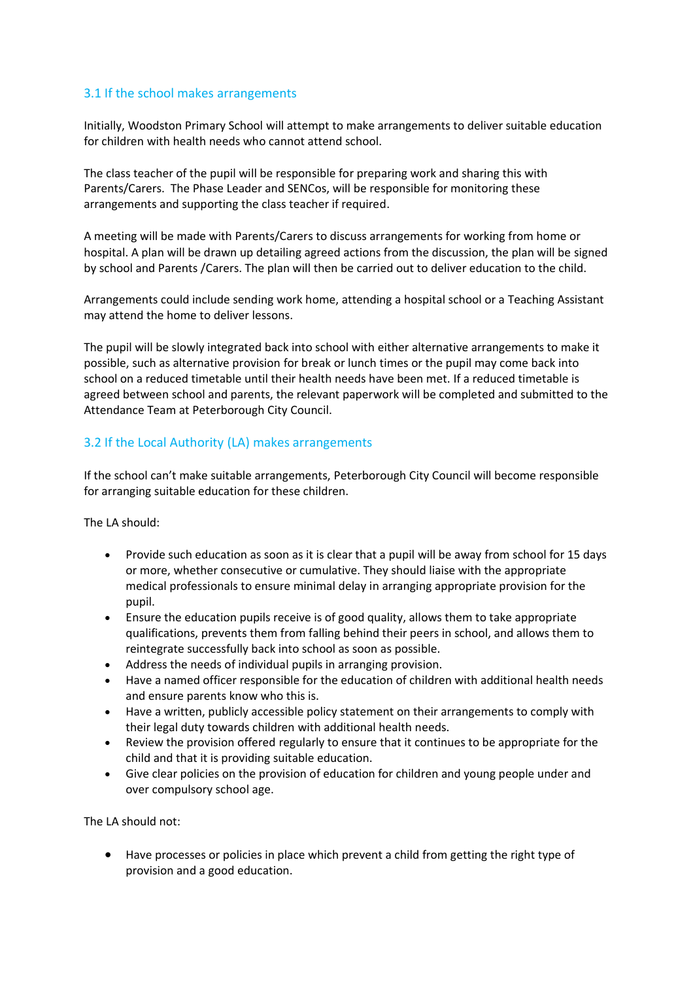#### 3.1 If the school makes arrangements

Initially, Woodston Primary School will attempt to make arrangements to deliver suitable education for children with health needs who cannot attend school.

The class teacher of the pupil will be responsible for preparing work and sharing this with Parents/Carers. The Phase Leader and SENCos, will be responsible for monitoring these arrangements and supporting the class teacher if required.

A meeting will be made with Parents/Carers to discuss arrangements for working from home or hospital. A plan will be drawn up detailing agreed actions from the discussion, the plan will be signed by school and Parents /Carers. The plan will then be carried out to deliver education to the child.

Arrangements could include sending work home, attending a hospital school or a Teaching Assistant may attend the home to deliver lessons.

The pupil will be slowly integrated back into school with either alternative arrangements to make it possible, such as alternative provision for break or lunch times or the pupil may come back into school on a reduced timetable until their health needs have been met. If a reduced timetable is agreed between school and parents, the relevant paperwork will be completed and submitted to the Attendance Team at Peterborough City Council.

#### 3.2 If the Local Authority (LA) makes arrangements

If the school can't make suitable arrangements, Peterborough City Council will become responsible for arranging suitable education for these children.

The LA should:

- Provide such education as soon as it is clear that a pupil will be away from school for 15 days or more, whether consecutive or cumulative. They should liaise with the appropriate medical professionals to ensure minimal delay in arranging appropriate provision for the pupil.
- Ensure the education pupils receive is of good quality, allows them to take appropriate qualifications, prevents them from falling behind their peers in school, and allows them to reintegrate successfully back into school as soon as possible.
- Address the needs of individual pupils in arranging provision.
- Have a named officer responsible for the education of children with additional health needs and ensure parents know who this is.
- Have a written, publicly accessible policy statement on their arrangements to comply with their legal duty towards children with additional health needs.
- Review the provision offered regularly to ensure that it continues to be appropriate for the child and that it is providing suitable education.
- Give clear policies on the provision of education for children and young people under and over compulsory school age.

The LA should not:

• Have processes or policies in place which prevent a child from getting the right type of provision and a good education.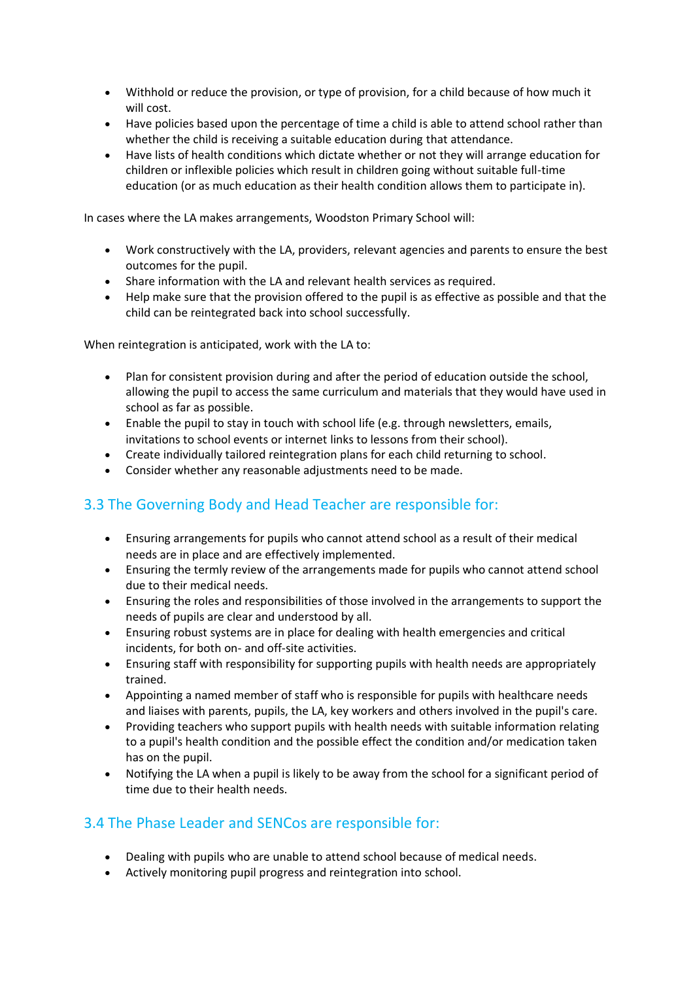- Withhold or reduce the provision, or type of provision, for a child because of how much it will cost.
- Have policies based upon the percentage of time a child is able to attend school rather than whether the child is receiving a suitable education during that attendance.
- Have lists of health conditions which dictate whether or not they will arrange education for children or inflexible policies which result in children going without suitable full-time education (or as much education as their health condition allows them to participate in).

In cases where the LA makes arrangements, Woodston Primary School will:

- Work constructively with the LA, providers, relevant agencies and parents to ensure the best outcomes for the pupil.
- Share information with the LA and relevant health services as required.
- Help make sure that the provision offered to the pupil is as effective as possible and that the child can be reintegrated back into school successfully.

When reintegration is anticipated, work with the LA to:

- Plan for consistent provision during and after the period of education outside the school, allowing the pupil to access the same curriculum and materials that they would have used in school as far as possible.
- Enable the pupil to stay in touch with school life (e.g. through newsletters, emails, invitations to school events or internet links to lessons from their school).
- Create individually tailored reintegration plans for each child returning to school.
- Consider whether any reasonable adjustments need to be made.

### 3.3 The Governing Body and Head Teacher are responsible for:

- Ensuring arrangements for pupils who cannot attend school as a result of their medical needs are in place and are effectively implemented.
- Ensuring the termly review of the arrangements made for pupils who cannot attend school due to their medical needs.
- Ensuring the roles and responsibilities of those involved in the arrangements to support the needs of pupils are clear and understood by all.
- Ensuring robust systems are in place for dealing with health emergencies and critical incidents, for both on- and off-site activities.
- Ensuring staff with responsibility for supporting pupils with health needs are appropriately trained.
- Appointing a named member of staff who is responsible for pupils with healthcare needs and liaises with parents, pupils, the LA, key workers and others involved in the pupil's care.
- Providing teachers who support pupils with health needs with suitable information relating to a pupil's health condition and the possible effect the condition and/or medication taken has on the pupil.
- Notifying the LA when a pupil is likely to be away from the school for a significant period of time due to their health needs.

#### 3.4 The Phase Leader and SENCos are responsible for:

- Dealing with pupils who are unable to attend school because of medical needs.
- Actively monitoring pupil progress and reintegration into school.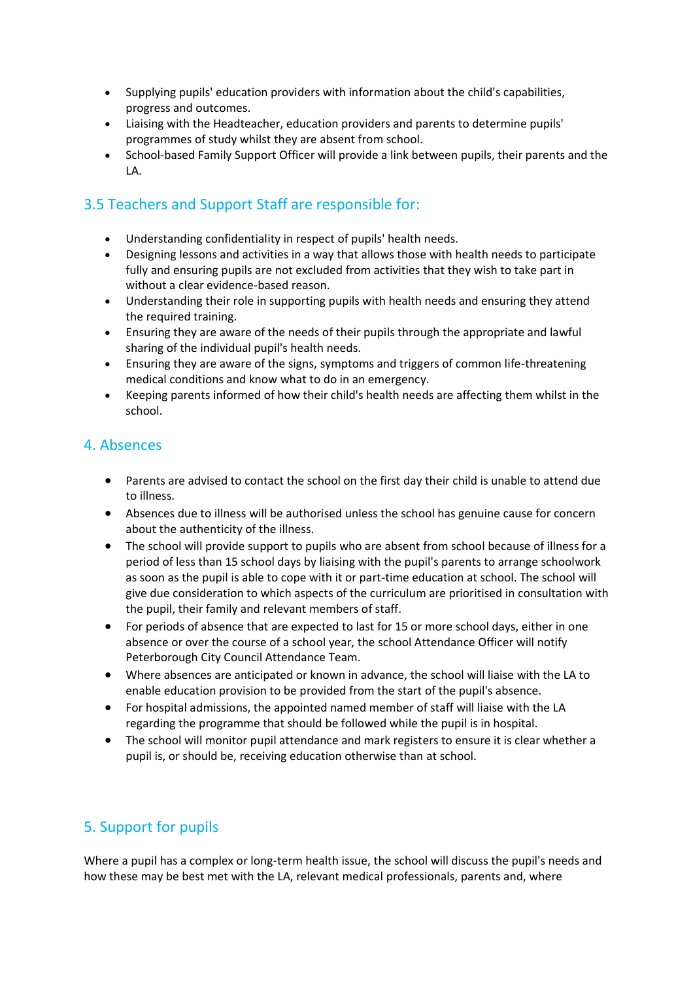- Supplying pupils' education providers with information about the child's capabilities, progress and outcomes.
- Liaising with the Headteacher, education providers and parents to determine pupils' programmes of study whilst they are absent from school.
- School-based Family Support Officer will provide a link between pupils, their parents and the LA.

### 3.5 Teachers and Support Staff are responsible for:

- Understanding confidentiality in respect of pupils' health needs.
- Designing lessons and activities in a way that allows those with health needs to participate fully and ensuring pupils are not excluded from activities that they wish to take part in without a clear evidence-based reason.
- Understanding their role in supporting pupils with health needs and ensuring they attend the required training.
- Ensuring they are aware of the needs of their pupils through the appropriate and lawful sharing of the individual pupil's health needs.
- Ensuring they are aware of the signs, symptoms and triggers of common life-threatening medical conditions and know what to do in an emergency.
- Keeping parents informed of how their child's health needs are affecting them whilst in the school.

#### 4. Absences

- Parents are advised to contact the school on the first day their child is unable to attend due to illness.
- Absences due to illness will be authorised unless the school has genuine cause for concern about the authenticity of the illness.
- The school will provide support to pupils who are absent from school because of illness for a period of less than 15 school days by liaising with the pupil's parents to arrange schoolwork as soon as the pupil is able to cope with it or part-time education at school. The school will give due consideration to which aspects of the curriculum are prioritised in consultation with the pupil, their family and relevant members of staff.
- For periods of absence that are expected to last for 15 or more school days, either in one absence or over the course of a school year, the school Attendance Officer will notify Peterborough City Council Attendance Team.
- Where absences are anticipated or known in advance, the school will liaise with the LA to enable education provision to be provided from the start of the pupil's absence.
- For hospital admissions, the appointed named member of staff will liaise with the LA regarding the programme that should be followed while the pupil is in hospital.
- The school will monitor pupil attendance and mark registers to ensure it is clear whether a pupil is, or should be, receiving education otherwise than at school.

### 5. Support for pupils

Where a pupil has a complex or long-term health issue, the school will discuss the pupil's needs and how these may be best met with the LA, relevant medical professionals, parents and, where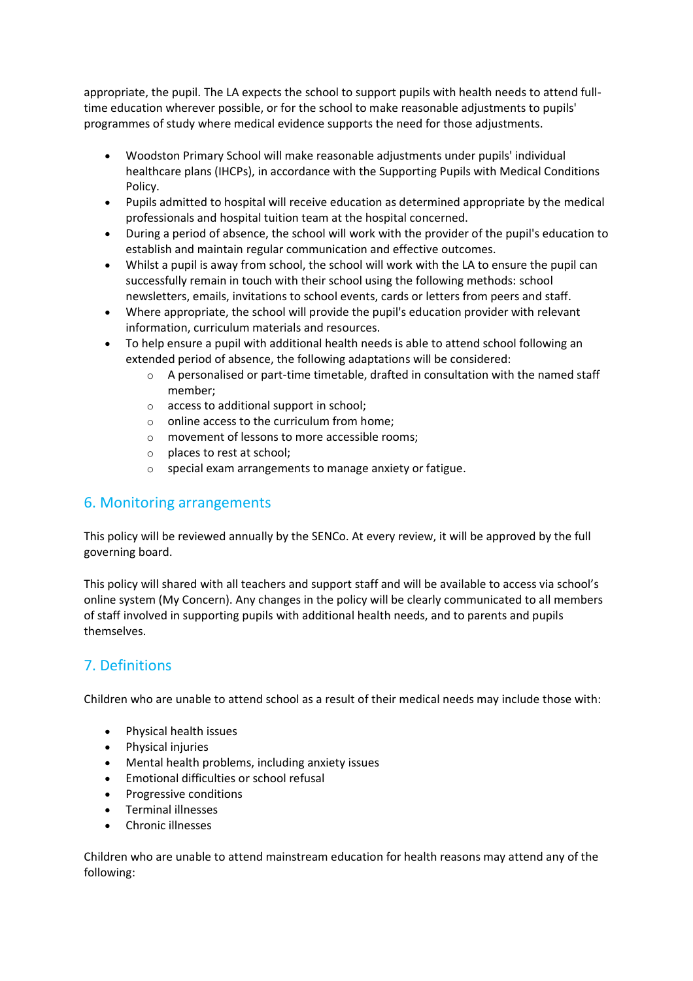appropriate, the pupil. The LA expects the school to support pupils with health needs to attend fulltime education wherever possible, or for the school to make reasonable adjustments to pupils' programmes of study where medical evidence supports the need for those adjustments.

- Woodston Primary School will make reasonable adjustments under pupils' individual healthcare plans (IHCPs), in accordance with the Supporting Pupils with Medical Conditions Policy.
- Pupils admitted to hospital will receive education as determined appropriate by the medical professionals and hospital tuition team at the hospital concerned.
- During a period of absence, the school will work with the provider of the pupil's education to establish and maintain regular communication and effective outcomes.
- Whilst a pupil is away from school, the school will work with the LA to ensure the pupil can successfully remain in touch with their school using the following methods: school newsletters, emails, invitations to school events, cards or letters from peers and staff.
- Where appropriate, the school will provide the pupil's education provider with relevant information, curriculum materials and resources.
- To help ensure a pupil with additional health needs is able to attend school following an extended period of absence, the following adaptations will be considered:
	- o A personalised or part-time timetable, drafted in consultation with the named staff member;
	- o access to additional support in school;
	- $\circ$  online access to the curriculum from home;
	- o movement of lessons to more accessible rooms;
	- o places to rest at school;
	- o special exam arrangements to manage anxiety or fatigue.

### 6. Monitoring arrangements

This policy will be reviewed annually by the SENCo. At every review, it will be approved by the full governing board.

This policy will shared with all teachers and support staff and will be available to access via school's online system (My Concern). Any changes in the policy will be clearly communicated to all members of staff involved in supporting pupils with additional health needs, and to parents and pupils themselves.

### 7. Definitions

Children who are unable to attend school as a result of their medical needs may include those with:

- Physical health issues
- Physical injuries
- Mental health problems, including anxiety issues
- Emotional difficulties or school refusal
- Progressive conditions
- Terminal illnesses
- Chronic illnesses

Children who are unable to attend mainstream education for health reasons may attend any of the following: